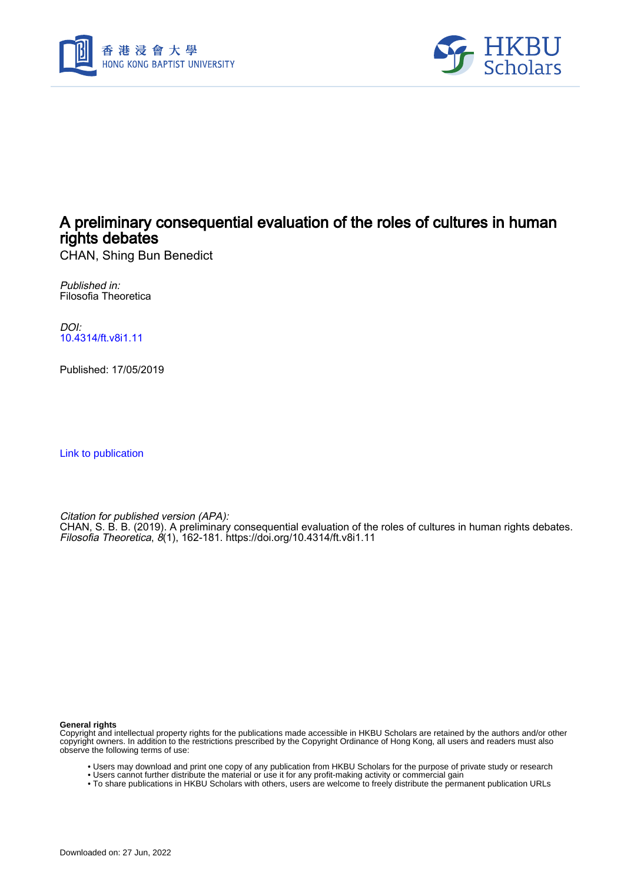



# A preliminary consequential evaluation of the roles of cultures in human rights debates

CHAN, Shing Bun Benedict

Published in: Filosofia Theoretica

DOI: [10.4314/ft.v8i1.11](https://doi.org/10.4314/ft.v8i1.11)

Published: 17/05/2019

[Link to publication](https://scholars.hkbu.edu.hk/en/publications/083ffee0-6d1c-44ee-8b74-38ae4f38fa0b)

Citation for published version (APA):

CHAN, S. B. B. (2019). A preliminary consequential evaluation of the roles of cultures in human rights debates. Filosofia Theoretica, 8(1), 162-181.<https://doi.org/10.4314/ft.v8i1.11>

**General rights**

Copyright and intellectual property rights for the publications made accessible in HKBU Scholars are retained by the authors and/or other copyright owners. In addition to the restrictions prescribed by the Copyright Ordinance of Hong Kong, all users and readers must also observe the following terms of use:

- Users may download and print one copy of any publication from HKBU Scholars for the purpose of private study or research
- Users cannot further distribute the material or use it for any profit-making activity or commercial gain
- To share publications in HKBU Scholars with others, users are welcome to freely distribute the permanent publication URLs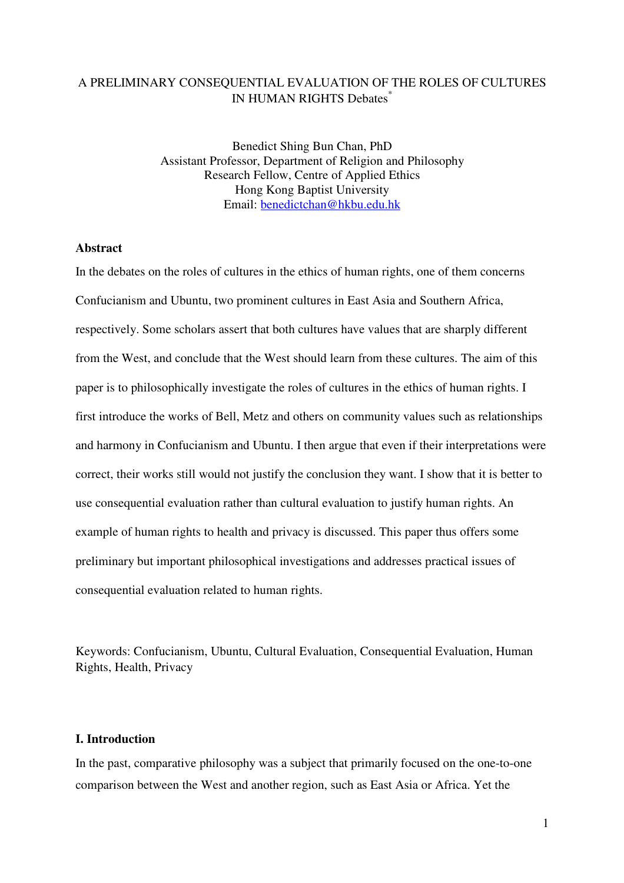## A PRELIMINARY CONSEQUENTIAL EVALUATION OF THE ROLES OF CULTURES IN HUMAN RIGHTS Debates\*

Benedict Shing Bun Chan, PhD Assistant Professor, Department of Religion and Philosophy Research Fellow, Centre of Applied Ethics Hong Kong Baptist University Email: benedictchan@hkbu.edu.hk

## **Abstract**

In the debates on the roles of cultures in the ethics of human rights, one of them concerns Confucianism and Ubuntu, two prominent cultures in East Asia and Southern Africa, respectively. Some scholars assert that both cultures have values that are sharply different from the West, and conclude that the West should learn from these cultures. The aim of this paper is to philosophically investigate the roles of cultures in the ethics of human rights. I first introduce the works of Bell, Metz and others on community values such as relationships and harmony in Confucianism and Ubuntu. I then argue that even if their interpretations were correct, their works still would not justify the conclusion they want. I show that it is better to use consequential evaluation rather than cultural evaluation to justify human rights. An example of human rights to health and privacy is discussed. This paper thus offers some preliminary but important philosophical investigations and addresses practical issues of consequential evaluation related to human rights.

Keywords: Confucianism, Ubuntu, Cultural Evaluation, Consequential Evaluation, Human Rights, Health, Privacy

#### **I. Introduction**

In the past, comparative philosophy was a subject that primarily focused on the one-to-one comparison between the West and another region, such as East Asia or Africa. Yet the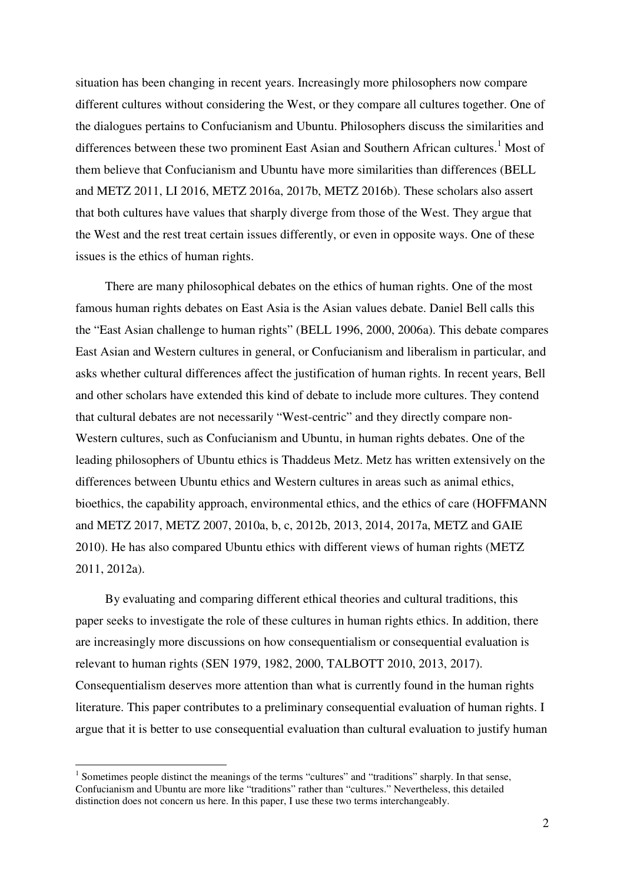situation has been changing in recent years. Increasingly more philosophers now compare different cultures without considering the West, or they compare all cultures together. One of the dialogues pertains to Confucianism and Ubuntu. Philosophers discuss the similarities and differences between these two prominent East Asian and Southern African cultures.<sup>1</sup> Most of them believe that Confucianism and Ubuntu have more similarities than differences (BELL and METZ 2011, LI 2016, METZ 2016a, 2017b, METZ 2016b). These scholars also assert that both cultures have values that sharply diverge from those of the West. They argue that the West and the rest treat certain issues differently, or even in opposite ways. One of these issues is the ethics of human rights.

There are many philosophical debates on the ethics of human rights. One of the most famous human rights debates on East Asia is the Asian values debate. Daniel Bell calls this the "East Asian challenge to human rights" (BELL 1996, 2000, 2006a). This debate compares East Asian and Western cultures in general, or Confucianism and liberalism in particular, and asks whether cultural differences affect the justification of human rights. In recent years, Bell and other scholars have extended this kind of debate to include more cultures. They contend that cultural debates are not necessarily "West-centric" and they directly compare non-Western cultures, such as Confucianism and Ubuntu, in human rights debates. One of the leading philosophers of Ubuntu ethics is Thaddeus Metz. Metz has written extensively on the differences between Ubuntu ethics and Western cultures in areas such as animal ethics, bioethics, the capability approach, environmental ethics, and the ethics of care (HOFFMANN and METZ 2017, METZ 2007, 2010a, b, c, 2012b, 2013, 2014, 2017a, METZ and GAIE 2010). He has also compared Ubuntu ethics with different views of human rights (METZ 2011, 2012a).

By evaluating and comparing different ethical theories and cultural traditions, this paper seeks to investigate the role of these cultures in human rights ethics. In addition, there are increasingly more discussions on how consequentialism or consequential evaluation is relevant to human rights (SEN 1979, 1982, 2000, TALBOTT 2010, 2013, 2017). Consequentialism deserves more attention than what is currently found in the human rights literature. This paper contributes to a preliminary consequential evaluation of human rights. I argue that it is better to use consequential evaluation than cultural evaluation to justify human

<sup>&</sup>lt;sup>1</sup> Sometimes people distinct the meanings of the terms "cultures" and "traditions" sharply. In that sense, Confucianism and Ubuntu are more like "traditions" rather than "cultures." Nevertheless, this detailed distinction does not concern us here. In this paper, I use these two terms interchangeably.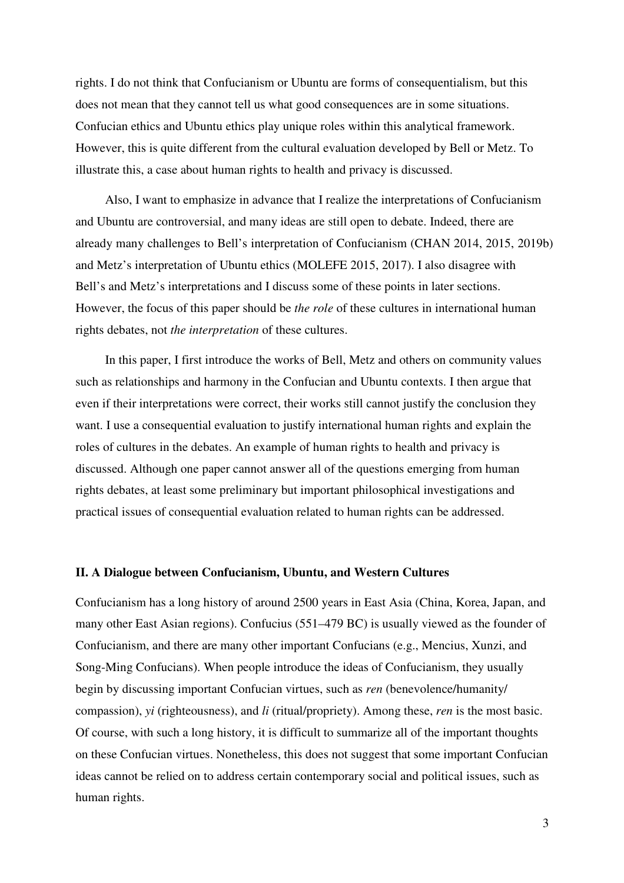rights. I do not think that Confucianism or Ubuntu are forms of consequentialism, but this does not mean that they cannot tell us what good consequences are in some situations. Confucian ethics and Ubuntu ethics play unique roles within this analytical framework. However, this is quite different from the cultural evaluation developed by Bell or Metz. To illustrate this, a case about human rights to health and privacy is discussed.

Also, I want to emphasize in advance that I realize the interpretations of Confucianism and Ubuntu are controversial, and many ideas are still open to debate. Indeed, there are already many challenges to Bell's interpretation of Confucianism (CHAN 2014, 2015, 2019b) and Metz's interpretation of Ubuntu ethics (MOLEFE 2015, 2017). I also disagree with Bell's and Metz's interpretations and I discuss some of these points in later sections. However, the focus of this paper should be *the role* of these cultures in international human rights debates, not *the interpretation* of these cultures.

In this paper, I first introduce the works of Bell, Metz and others on community values such as relationships and harmony in the Confucian and Ubuntu contexts. I then argue that even if their interpretations were correct, their works still cannot justify the conclusion they want. I use a consequential evaluation to justify international human rights and explain the roles of cultures in the debates. An example of human rights to health and privacy is discussed. Although one paper cannot answer all of the questions emerging from human rights debates, at least some preliminary but important philosophical investigations and practical issues of consequential evaluation related to human rights can be addressed.

#### **II. A Dialogue between Confucianism, Ubuntu, and Western Cultures**

Confucianism has a long history of around 2500 years in East Asia (China, Korea, Japan, and many other East Asian regions). Confucius (551–479 BC) is usually viewed as the founder of Confucianism, and there are many other important Confucians (e.g., Mencius, Xunzi, and Song-Ming Confucians). When people introduce the ideas of Confucianism, they usually begin by discussing important Confucian virtues, such as *ren* (benevolence/humanity/ compassion), *yi* (righteousness), and *li* (ritual/propriety). Among these, *ren* is the most basic. Of course, with such a long history, it is difficult to summarize all of the important thoughts on these Confucian virtues. Nonetheless, this does not suggest that some important Confucian ideas cannot be relied on to address certain contemporary social and political issues, such as human rights.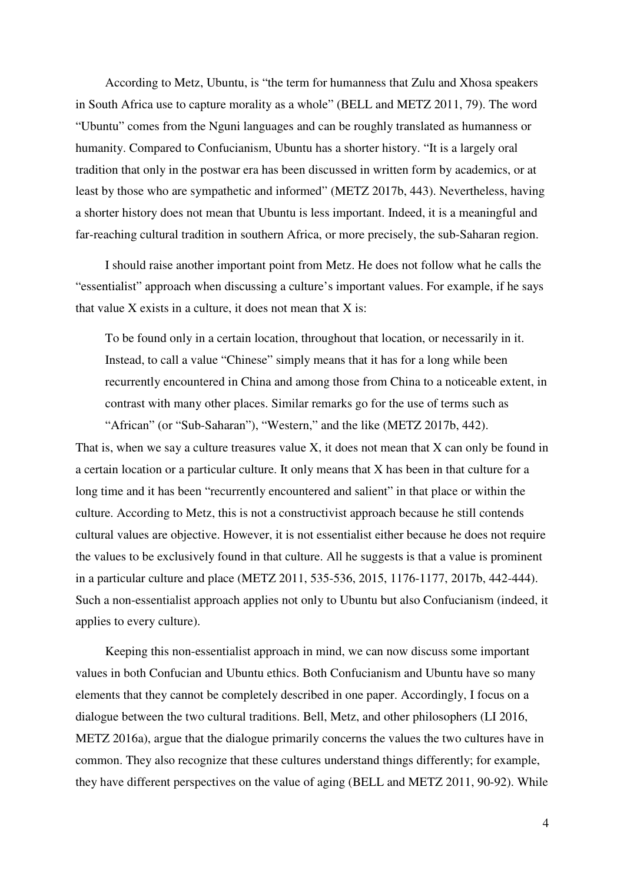According to Metz, Ubuntu, is "the term for humanness that Zulu and Xhosa speakers in South Africa use to capture morality as a whole" (BELL and METZ 2011, 79). The word "Ubuntu" comes from the Nguni languages and can be roughly translated as humanness or humanity. Compared to Confucianism, Ubuntu has a shorter history. "It is a largely oral tradition that only in the postwar era has been discussed in written form by academics, or at least by those who are sympathetic and informed" (METZ 2017b, 443). Nevertheless, having a shorter history does not mean that Ubuntu is less important. Indeed, it is a meaningful and far-reaching cultural tradition in southern Africa, or more precisely, the sub-Saharan region.

I should raise another important point from Metz. He does not follow what he calls the "essentialist" approach when discussing a culture's important values. For example, if he says that value  $X$  exists in a culture, it does not mean that  $X$  is:

To be found only in a certain location, throughout that location, or necessarily in it. Instead, to call a value "Chinese" simply means that it has for a long while been recurrently encountered in China and among those from China to a noticeable extent, in contrast with many other places. Similar remarks go for the use of terms such as "African" (or "Sub-Saharan"), "Western," and the like (METZ 2017b, 442).

That is, when we say a culture treasures value X, it does not mean that X can only be found in a certain location or a particular culture. It only means that X has been in that culture for a long time and it has been "recurrently encountered and salient" in that place or within the culture. According to Metz, this is not a constructivist approach because he still contends cultural values are objective. However, it is not essentialist either because he does not require the values to be exclusively found in that culture. All he suggests is that a value is prominent in a particular culture and place (METZ 2011, 535-536, 2015, 1176-1177, 2017b, 442-444). Such a non-essentialist approach applies not only to Ubuntu but also Confucianism (indeed, it applies to every culture).

Keeping this non-essentialist approach in mind, we can now discuss some important values in both Confucian and Ubuntu ethics. Both Confucianism and Ubuntu have so many elements that they cannot be completely described in one paper. Accordingly, I focus on a dialogue between the two cultural traditions. Bell, Metz, and other philosophers (LI 2016, METZ 2016a), argue that the dialogue primarily concerns the values the two cultures have in common. They also recognize that these cultures understand things differently; for example, they have different perspectives on the value of aging (BELL and METZ 2011, 90-92). While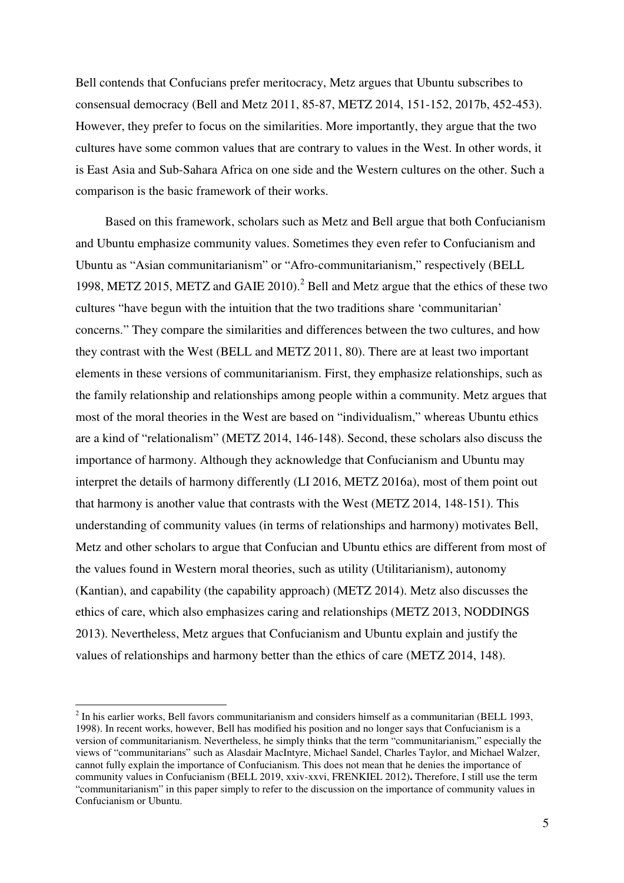Bell contends that Confucians prefer meritocracy, Metz argues that Ubuntu subscribes to consensual democracy (Bell and Metz 2011, 85-87, METZ 2014, 151-152, 2017b, 452-453). However, they prefer to focus on the similarities. More importantly, they argue that the two cultures have some common values that are contrary to values in the West. In other words, it is East Asia and Sub-Sahara Africa on one side and the Western cultures on the other. Such a comparison is the basic framework of their works.

Based on this framework, scholars such as Metz and Bell argue that both Confucianism and Ubuntu emphasize community values. Sometimes they even refer to Confucianism and Ubuntu as "Asian communitarianism" or "Afro-communitarianism," respectively (BELL 1998, METZ 2015, METZ and GAIE 2010).<sup>2</sup> Bell and Metz argue that the ethics of these two cultures "have begun with the intuition that the two traditions share 'communitarian' concerns." They compare the similarities and differences between the two cultures, and how they contrast with the West (BELL and METZ 2011, 80). There are at least two important elements in these versions of communitarianism. First, they emphasize relationships, such as the family relationship and relationships among people within a community. Metz argues that most of the moral theories in the West are based on "individualism," whereas Ubuntu ethics are a kind of "relationalism" (METZ 2014, 146-148). Second, these scholars also discuss the importance of harmony. Although they acknowledge that Confucianism and Ubuntu may interpret the details of harmony differently (LI 2016, METZ 2016a), most of them point out that harmony is another value that contrasts with the West (METZ 2014, 148-151). This understanding of community values (in terms of relationships and harmony) motivates Bell, Metz and other scholars to argue that Confucian and Ubuntu ethics are different from most of the values found in Western moral theories, such as utility (Utilitarianism), autonomy (Kantian), and capability (the capability approach) (METZ 2014). Metz also discusses the ethics of care, which also emphasizes caring and relationships (METZ 2013, NODDINGS 2013). Nevertheless, Metz argues that Confucianism and Ubuntu explain and justify the values of relationships and harmony better than the ethics of care (METZ 2014, 148).

 $2^{2}$  In his earlier works, Bell favors communitarianism and considers himself as a communitarian (BELL 1993, 1998). In recent works, however, Bell has modified his position and no longer says that Confucianism is a version of communitarianism. Nevertheless, he simply thinks that the term "communitarianism," especially the views of "communitarians" such as Alasdair MacIntyre, Michael Sandel, Charles Taylor, and Michael Walzer, cannot fully explain the importance of Confucianism. This does not mean that he denies the importance of community values in Confucianism (BELL 2019, xxiv-xxvi, FRENKIEL 2012)**.** Therefore, I still use the term "communitarianism" in this paper simply to refer to the discussion on the importance of community values in Confucianism or Ubuntu.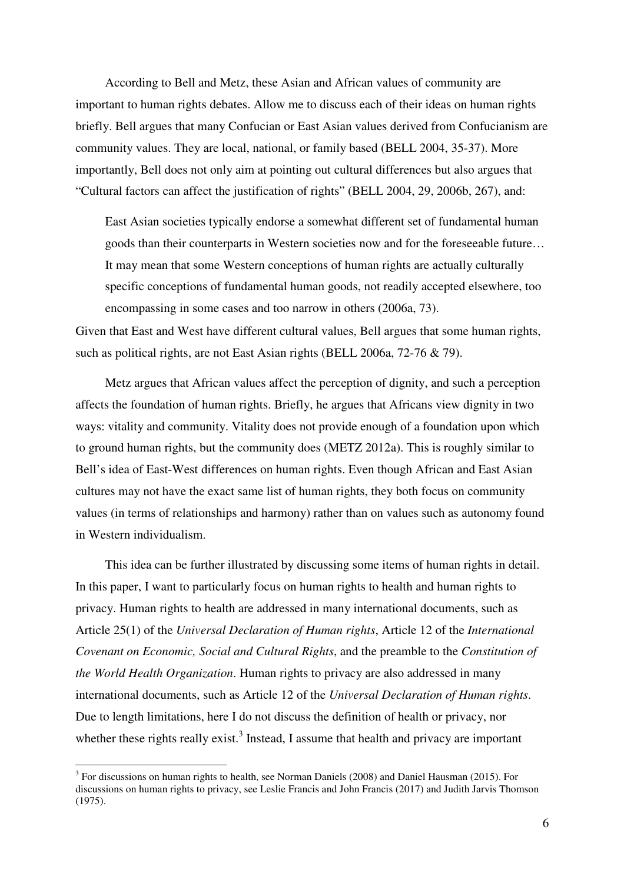According to Bell and Metz, these Asian and African values of community are important to human rights debates. Allow me to discuss each of their ideas on human rights briefly. Bell argues that many Confucian or East Asian values derived from Confucianism are community values. They are local, national, or family based (BELL 2004, 35-37). More importantly, Bell does not only aim at pointing out cultural differences but also argues that "Cultural factors can affect the justification of rights" (BELL 2004, 29, 2006b, 267), and:

East Asian societies typically endorse a somewhat different set of fundamental human goods than their counterparts in Western societies now and for the foreseeable future… It may mean that some Western conceptions of human rights are actually culturally specific conceptions of fundamental human goods, not readily accepted elsewhere, too encompassing in some cases and too narrow in others (2006a, 73).

Given that East and West have different cultural values, Bell argues that some human rights, such as political rights, are not East Asian rights (BELL 2006a, 72-76 & 79).

Metz argues that African values affect the perception of dignity, and such a perception affects the foundation of human rights. Briefly, he argues that Africans view dignity in two ways: vitality and community. Vitality does not provide enough of a foundation upon which to ground human rights, but the community does (METZ 2012a). This is roughly similar to Bell's idea of East-West differences on human rights. Even though African and East Asian cultures may not have the exact same list of human rights, they both focus on community values (in terms of relationships and harmony) rather than on values such as autonomy found in Western individualism.

This idea can be further illustrated by discussing some items of human rights in detail. In this paper, I want to particularly focus on human rights to health and human rights to privacy. Human rights to health are addressed in many international documents, such as Article 25(1) of the *Universal Declaration of Human rights*, Article 12 of the *International Covenant on Economic, Social and Cultural Rights*, and the preamble to the *Constitution of the World Health Organization*. Human rights to privacy are also addressed in many international documents, such as Article 12 of the *Universal Declaration of Human rights*. Due to length limitations, here I do not discuss the definition of health or privacy, nor whether these rights really exist.<sup>3</sup> Instead, I assume that health and privacy are important

<sup>&</sup>lt;sup>3</sup> For discussions on human rights to health, see Norman Daniels (2008) and Daniel Hausman (2015). For discussions on human rights to privacy, see Leslie Francis and John Francis (2017) and Judith Jarvis Thomson (1975).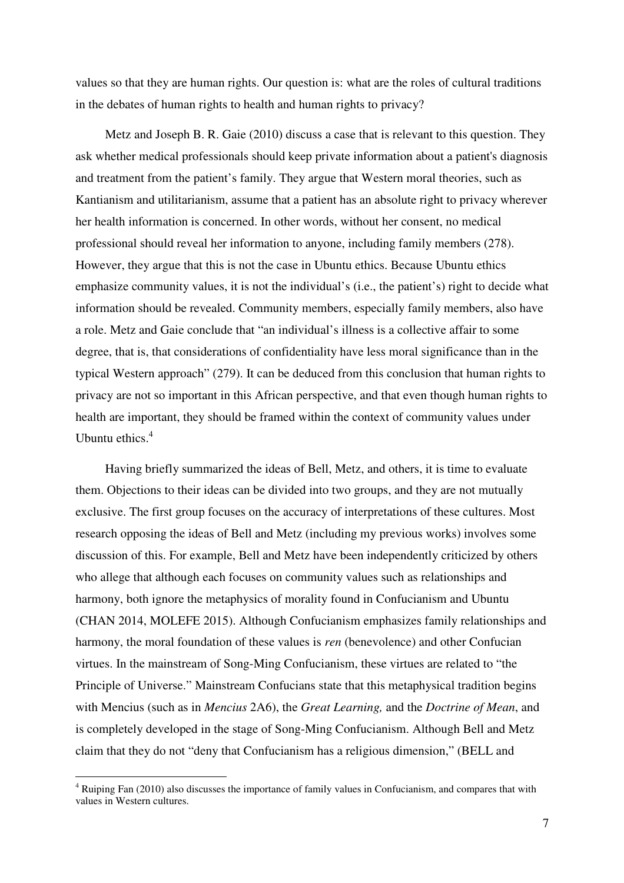values so that they are human rights. Our question is: what are the roles of cultural traditions in the debates of human rights to health and human rights to privacy?

Metz and Joseph B. R. Gaie (2010) discuss a case that is relevant to this question. They ask whether medical professionals should keep private information about a patient's diagnosis and treatment from the patient's family. They argue that Western moral theories, such as Kantianism and utilitarianism, assume that a patient has an absolute right to privacy wherever her health information is concerned. In other words, without her consent, no medical professional should reveal her information to anyone, including family members (278). However, they argue that this is not the case in Ubuntu ethics. Because Ubuntu ethics emphasize community values, it is not the individual's (i.e., the patient's) right to decide what information should be revealed. Community members, especially family members, also have a role. Metz and Gaie conclude that "an individual's illness is a collective affair to some degree, that is, that considerations of confidentiality have less moral significance than in the typical Western approach" (279). It can be deduced from this conclusion that human rights to privacy are not so important in this African perspective, and that even though human rights to health are important, they should be framed within the context of community values under Ubuntu ethics. $4$ 

Having briefly summarized the ideas of Bell, Metz, and others, it is time to evaluate them. Objections to their ideas can be divided into two groups, and they are not mutually exclusive. The first group focuses on the accuracy of interpretations of these cultures. Most research opposing the ideas of Bell and Metz (including my previous works) involves some discussion of this. For example, Bell and Metz have been independently criticized by others who allege that although each focuses on community values such as relationships and harmony, both ignore the metaphysics of morality found in Confucianism and Ubuntu (CHAN 2014, MOLEFE 2015). Although Confucianism emphasizes family relationships and harmony, the moral foundation of these values is *ren* (benevolence) and other Confucian virtues. In the mainstream of Song-Ming Confucianism, these virtues are related to "the Principle of Universe." Mainstream Confucians state that this metaphysical tradition begins with Mencius (such as in *Mencius* 2A6), the *Great Learning,* and the *Doctrine of Mean*, and is completely developed in the stage of Song-Ming Confucianism. Although Bell and Metz claim that they do not "deny that Confucianism has a religious dimension," (BELL and

<sup>&</sup>lt;sup>4</sup> Ruiping Fan (2010) also discusses the importance of family values in Confucianism, and compares that with values in Western cultures.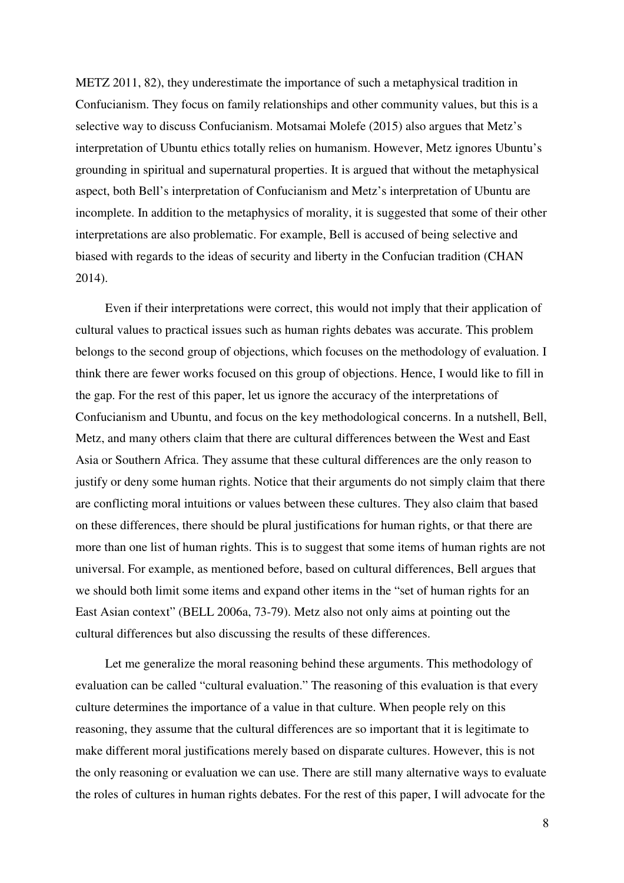METZ 2011, 82), they underestimate the importance of such a metaphysical tradition in Confucianism. They focus on family relationships and other community values, but this is a selective way to discuss Confucianism. Motsamai Molefe (2015) also argues that Metz's interpretation of Ubuntu ethics totally relies on humanism. However, Metz ignores Ubuntu's grounding in spiritual and supernatural properties. It is argued that without the metaphysical aspect, both Bell's interpretation of Confucianism and Metz's interpretation of Ubuntu are incomplete. In addition to the metaphysics of morality, it is suggested that some of their other interpretations are also problematic. For example, Bell is accused of being selective and biased with regards to the ideas of security and liberty in the Confucian tradition (CHAN 2014).

Even if their interpretations were correct, this would not imply that their application of cultural values to practical issues such as human rights debates was accurate. This problem belongs to the second group of objections, which focuses on the methodology of evaluation. I think there are fewer works focused on this group of objections. Hence, I would like to fill in the gap. For the rest of this paper, let us ignore the accuracy of the interpretations of Confucianism and Ubuntu, and focus on the key methodological concerns. In a nutshell, Bell, Metz, and many others claim that there are cultural differences between the West and East Asia or Southern Africa. They assume that these cultural differences are the only reason to justify or deny some human rights. Notice that their arguments do not simply claim that there are conflicting moral intuitions or values between these cultures. They also claim that based on these differences, there should be plural justifications for human rights, or that there are more than one list of human rights. This is to suggest that some items of human rights are not universal. For example, as mentioned before, based on cultural differences, Bell argues that we should both limit some items and expand other items in the "set of human rights for an East Asian context" (BELL 2006a, 73-79). Metz also not only aims at pointing out the cultural differences but also discussing the results of these differences.

Let me generalize the moral reasoning behind these arguments. This methodology of evaluation can be called "cultural evaluation." The reasoning of this evaluation is that every culture determines the importance of a value in that culture. When people rely on this reasoning, they assume that the cultural differences are so important that it is legitimate to make different moral justifications merely based on disparate cultures. However, this is not the only reasoning or evaluation we can use. There are still many alternative ways to evaluate the roles of cultures in human rights debates. For the rest of this paper, I will advocate for the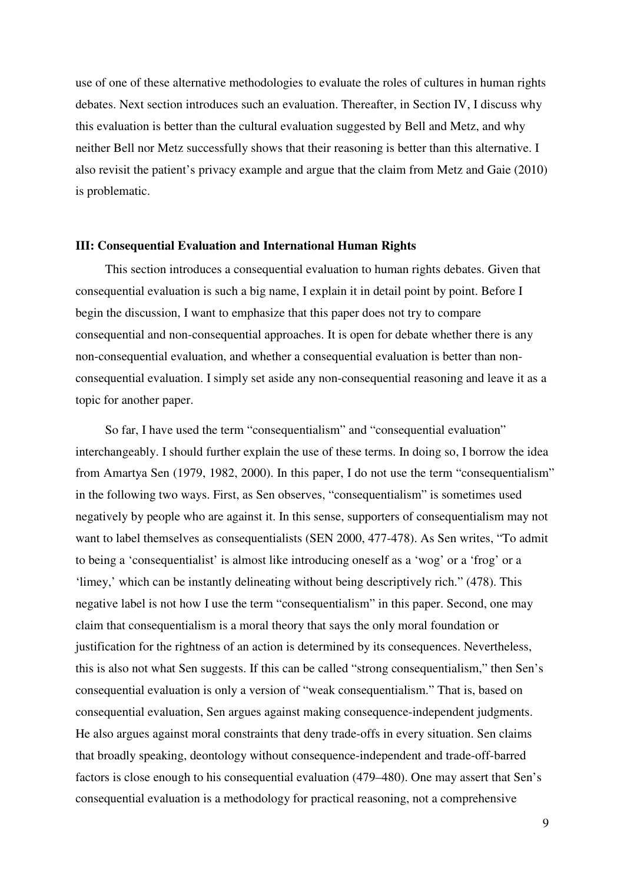use of one of these alternative methodologies to evaluate the roles of cultures in human rights debates. Next section introduces such an evaluation. Thereafter, in Section IV, I discuss why this evaluation is better than the cultural evaluation suggested by Bell and Metz, and why neither Bell nor Metz successfully shows that their reasoning is better than this alternative. I also revisit the patient's privacy example and argue that the claim from Metz and Gaie (2010) is problematic.

#### **III: Consequential Evaluation and International Human Rights**

This section introduces a consequential evaluation to human rights debates. Given that consequential evaluation is such a big name, I explain it in detail point by point. Before I begin the discussion, I want to emphasize that this paper does not try to compare consequential and non-consequential approaches. It is open for debate whether there is any non-consequential evaluation, and whether a consequential evaluation is better than nonconsequential evaluation. I simply set aside any non-consequential reasoning and leave it as a topic for another paper.

So far, I have used the term "consequentialism" and "consequential evaluation" interchangeably. I should further explain the use of these terms. In doing so, I borrow the idea from Amartya Sen (1979, 1982, 2000). In this paper, I do not use the term "consequentialism" in the following two ways. First, as Sen observes, "consequentialism" is sometimes used negatively by people who are against it. In this sense, supporters of consequentialism may not want to label themselves as consequentialists (SEN 2000, 477-478). As Sen writes, "To admit to being a 'consequentialist' is almost like introducing oneself as a 'wog' or a 'frog' or a 'limey,' which can be instantly delineating without being descriptively rich." (478). This negative label is not how I use the term "consequentialism" in this paper. Second, one may claim that consequentialism is a moral theory that says the only moral foundation or justification for the rightness of an action is determined by its consequences. Nevertheless, this is also not what Sen suggests. If this can be called "strong consequentialism," then Sen's consequential evaluation is only a version of "weak consequentialism." That is, based on consequential evaluation, Sen argues against making consequence-independent judgments. He also argues against moral constraints that deny trade-offs in every situation. Sen claims that broadly speaking, deontology without consequence-independent and trade-off-barred factors is close enough to his consequential evaluation (479–480). One may assert that Sen's consequential evaluation is a methodology for practical reasoning, not a comprehensive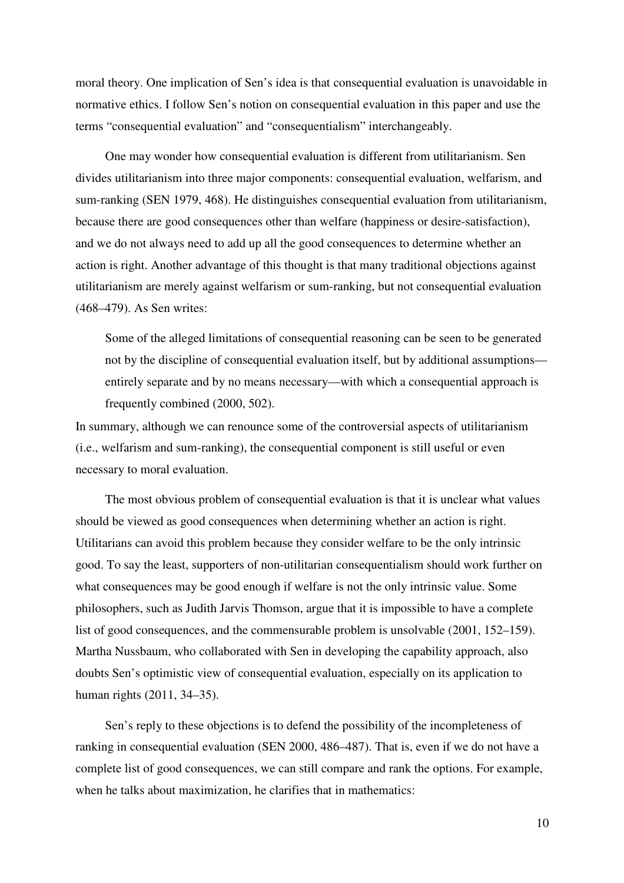moral theory. One implication of Sen's idea is that consequential evaluation is unavoidable in normative ethics. I follow Sen's notion on consequential evaluation in this paper and use the terms "consequential evaluation" and "consequentialism" interchangeably.

One may wonder how consequential evaluation is different from utilitarianism. Sen divides utilitarianism into three major components: consequential evaluation, welfarism, and sum-ranking (SEN 1979, 468). He distinguishes consequential evaluation from utilitarianism, because there are good consequences other than welfare (happiness or desire-satisfaction), and we do not always need to add up all the good consequences to determine whether an action is right. Another advantage of this thought is that many traditional objections against utilitarianism are merely against welfarism or sum-ranking, but not consequential evaluation (468–479). As Sen writes:

Some of the alleged limitations of consequential reasoning can be seen to be generated not by the discipline of consequential evaluation itself, but by additional assumptions entirely separate and by no means necessary—with which a consequential approach is frequently combined (2000, 502).

In summary, although we can renounce some of the controversial aspects of utilitarianism (i.e., welfarism and sum-ranking), the consequential component is still useful or even necessary to moral evaluation.

The most obvious problem of consequential evaluation is that it is unclear what values should be viewed as good consequences when determining whether an action is right. Utilitarians can avoid this problem because they consider welfare to be the only intrinsic good. To say the least, supporters of non-utilitarian consequentialism should work further on what consequences may be good enough if welfare is not the only intrinsic value. Some philosophers, such as Judith Jarvis Thomson, argue that it is impossible to have a complete list of good consequences, and the commensurable problem is unsolvable (2001, 152–159). Martha Nussbaum, who collaborated with Sen in developing the capability approach, also doubts Sen's optimistic view of consequential evaluation, especially on its application to human rights (2011, 34–35).

Sen's reply to these objections is to defend the possibility of the incompleteness of ranking in consequential evaluation (SEN 2000, 486–487). That is, even if we do not have a complete list of good consequences, we can still compare and rank the options. For example, when he talks about maximization, he clarifies that in mathematics: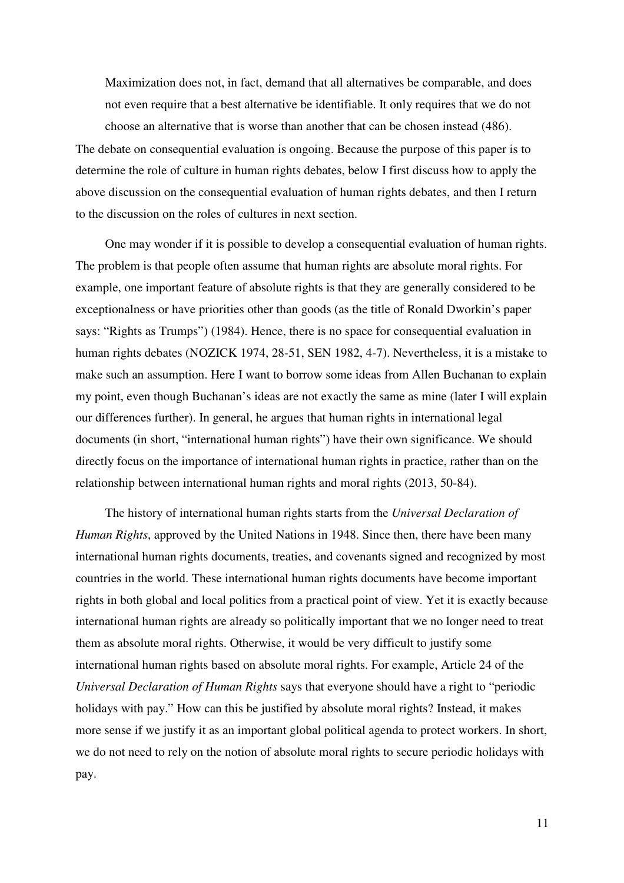Maximization does not, in fact, demand that all alternatives be comparable, and does not even require that a best alternative be identifiable. It only requires that we do not choose an alternative that is worse than another that can be chosen instead (486).

The debate on consequential evaluation is ongoing. Because the purpose of this paper is to determine the role of culture in human rights debates, below I first discuss how to apply the above discussion on the consequential evaluation of human rights debates, and then I return to the discussion on the roles of cultures in next section.

One may wonder if it is possible to develop a consequential evaluation of human rights. The problem is that people often assume that human rights are absolute moral rights. For example, one important feature of absolute rights is that they are generally considered to be exceptionalness or have priorities other than goods (as the title of Ronald Dworkin's paper says: "Rights as Trumps") (1984). Hence, there is no space for consequential evaluation in human rights debates (NOZICK 1974, 28-51, SEN 1982, 4-7). Nevertheless, it is a mistake to make such an assumption. Here I want to borrow some ideas from Allen Buchanan to explain my point, even though Buchanan's ideas are not exactly the same as mine (later I will explain our differences further). In general, he argues that human rights in international legal documents (in short, "international human rights") have their own significance. We should directly focus on the importance of international human rights in practice, rather than on the relationship between international human rights and moral rights (2013, 50-84).

The history of international human rights starts from the *Universal Declaration of Human Rights*, approved by the United Nations in 1948. Since then, there have been many international human rights documents, treaties, and covenants signed and recognized by most countries in the world. These international human rights documents have become important rights in both global and local politics from a practical point of view. Yet it is exactly because international human rights are already so politically important that we no longer need to treat them as absolute moral rights. Otherwise, it would be very difficult to justify some international human rights based on absolute moral rights. For example, Article 24 of the *Universal Declaration of Human Rights* says that everyone should have a right to "periodic holidays with pay." How can this be justified by absolute moral rights? Instead, it makes more sense if we justify it as an important global political agenda to protect workers. In short, we do not need to rely on the notion of absolute moral rights to secure periodic holidays with pay.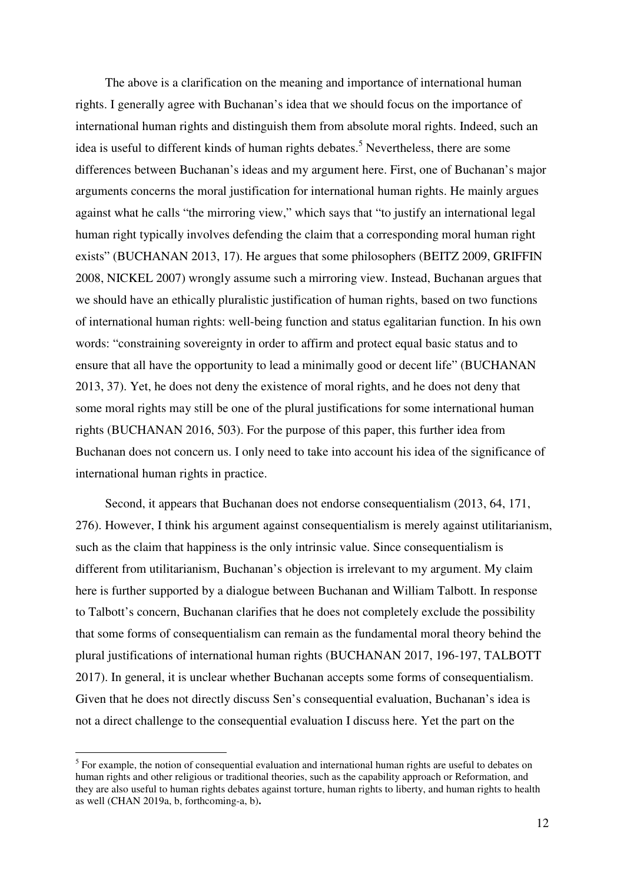The above is a clarification on the meaning and importance of international human rights. I generally agree with Buchanan's idea that we should focus on the importance of international human rights and distinguish them from absolute moral rights. Indeed, such an idea is useful to different kinds of human rights debates.<sup>5</sup> Nevertheless, there are some differences between Buchanan's ideas and my argument here. First, one of Buchanan's major arguments concerns the moral justification for international human rights. He mainly argues against what he calls "the mirroring view," which says that "to justify an international legal human right typically involves defending the claim that a corresponding moral human right exists" (BUCHANAN 2013, 17). He argues that some philosophers (BEITZ 2009, GRIFFIN 2008, NICKEL 2007) wrongly assume such a mirroring view. Instead, Buchanan argues that we should have an ethically pluralistic justification of human rights, based on two functions of international human rights: well-being function and status egalitarian function. In his own words: "constraining sovereignty in order to affirm and protect equal basic status and to ensure that all have the opportunity to lead a minimally good or decent life" (BUCHANAN 2013, 37). Yet, he does not deny the existence of moral rights, and he does not deny that some moral rights may still be one of the plural justifications for some international human rights (BUCHANAN 2016, 503). For the purpose of this paper, this further idea from Buchanan does not concern us. I only need to take into account his idea of the significance of international human rights in practice.

Second, it appears that Buchanan does not endorse consequentialism (2013, 64, 171, 276). However, I think his argument against consequentialism is merely against utilitarianism, such as the claim that happiness is the only intrinsic value. Since consequentialism is different from utilitarianism, Buchanan's objection is irrelevant to my argument. My claim here is further supported by a dialogue between Buchanan and William Talbott. In response to Talbott's concern, Buchanan clarifies that he does not completely exclude the possibility that some forms of consequentialism can remain as the fundamental moral theory behind the plural justifications of international human rights (BUCHANAN 2017, 196-197, TALBOTT 2017). In general, it is unclear whether Buchanan accepts some forms of consequentialism. Given that he does not directly discuss Sen's consequential evaluation, Buchanan's idea is not a direct challenge to the consequential evaluation I discuss here. Yet the part on the

 $<sup>5</sup>$  For example, the notion of consequential evaluation and international human rights are useful to debates on</sup> human rights and other religious or traditional theories, such as the capability approach or Reformation, and they are also useful to human rights debates against torture, human rights to liberty, and human rights to health as well (CHAN 2019a, b, forthcoming-a, b)**.**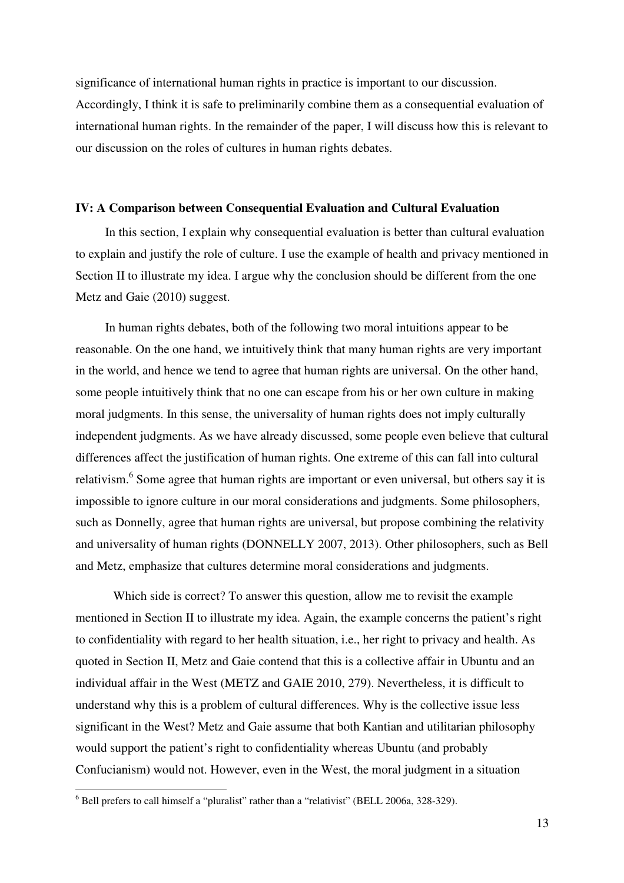significance of international human rights in practice is important to our discussion. Accordingly, I think it is safe to preliminarily combine them as a consequential evaluation of international human rights. In the remainder of the paper, I will discuss how this is relevant to our discussion on the roles of cultures in human rights debates.

#### **IV: A Comparison between Consequential Evaluation and Cultural Evaluation**

In this section, I explain why consequential evaluation is better than cultural evaluation to explain and justify the role of culture. I use the example of health and privacy mentioned in Section II to illustrate my idea. I argue why the conclusion should be different from the one Metz and Gaie (2010) suggest.

In human rights debates, both of the following two moral intuitions appear to be reasonable. On the one hand, we intuitively think that many human rights are very important in the world, and hence we tend to agree that human rights are universal. On the other hand, some people intuitively think that no one can escape from his or her own culture in making moral judgments. In this sense, the universality of human rights does not imply culturally independent judgments. As we have already discussed, some people even believe that cultural differences affect the justification of human rights. One extreme of this can fall into cultural relativism.<sup>6</sup> Some agree that human rights are important or even universal, but others say it is impossible to ignore culture in our moral considerations and judgments. Some philosophers, such as Donnelly, agree that human rights are universal, but propose combining the relativity and universality of human rights (DONNELLY 2007, 2013). Other philosophers, such as Bell and Metz, emphasize that cultures determine moral considerations and judgments.

Which side is correct? To answer this question, allow me to revisit the example mentioned in Section II to illustrate my idea. Again, the example concerns the patient's right to confidentiality with regard to her health situation, i.e., her right to privacy and health. As quoted in Section II, Metz and Gaie contend that this is a collective affair in Ubuntu and an individual affair in the West (METZ and GAIE 2010, 279). Nevertheless, it is difficult to understand why this is a problem of cultural differences. Why is the collective issue less significant in the West? Metz and Gaie assume that both Kantian and utilitarian philosophy would support the patient's right to confidentiality whereas Ubuntu (and probably Confucianism) would not. However, even in the West, the moral judgment in a situation

 $<sup>6</sup>$  Bell prefers to call himself a "pluralist" rather than a "relativist" (BELL 2006a, 328-329).</sup>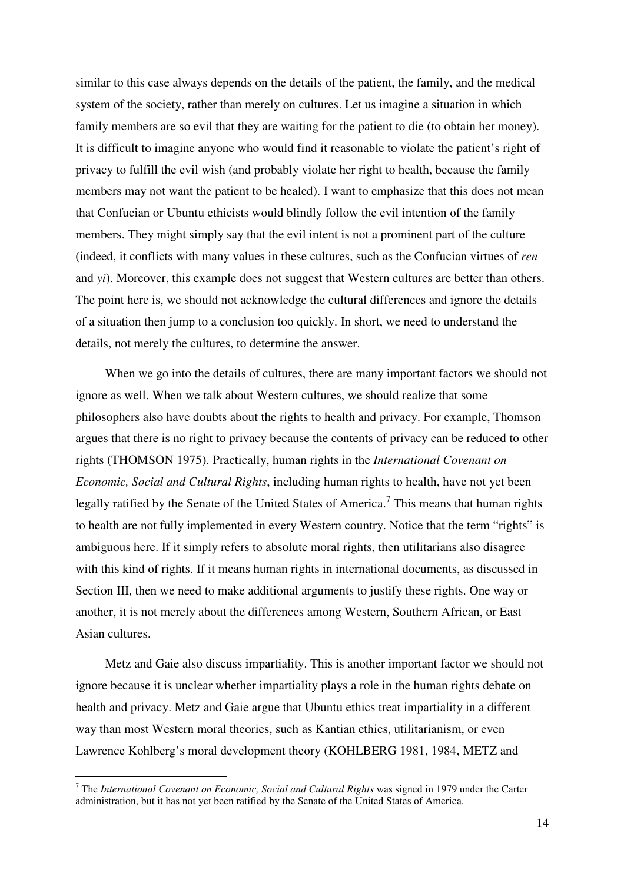similar to this case always depends on the details of the patient, the family, and the medical system of the society, rather than merely on cultures. Let us imagine a situation in which family members are so evil that they are waiting for the patient to die (to obtain her money). It is difficult to imagine anyone who would find it reasonable to violate the patient's right of privacy to fulfill the evil wish (and probably violate her right to health, because the family members may not want the patient to be healed). I want to emphasize that this does not mean that Confucian or Ubuntu ethicists would blindly follow the evil intention of the family members. They might simply say that the evil intent is not a prominent part of the culture (indeed, it conflicts with many values in these cultures, such as the Confucian virtues of *ren* and *yi*). Moreover, this example does not suggest that Western cultures are better than others. The point here is, we should not acknowledge the cultural differences and ignore the details of a situation then jump to a conclusion too quickly. In short, we need to understand the details, not merely the cultures, to determine the answer.

When we go into the details of cultures, there are many important factors we should not ignore as well. When we talk about Western cultures, we should realize that some philosophers also have doubts about the rights to health and privacy. For example, Thomson argues that there is no right to privacy because the contents of privacy can be reduced to other rights (THOMSON 1975). Practically, human rights in the *International Covenant on Economic, Social and Cultural Rights*, including human rights to health, have not yet been legally ratified by the Senate of the United States of America.<sup>7</sup> This means that human rights to health are not fully implemented in every Western country. Notice that the term "rights" is ambiguous here. If it simply refers to absolute moral rights, then utilitarians also disagree with this kind of rights. If it means human rights in international documents, as discussed in Section III, then we need to make additional arguments to justify these rights. One way or another, it is not merely about the differences among Western, Southern African, or East Asian cultures.

Metz and Gaie also discuss impartiality. This is another important factor we should not ignore because it is unclear whether impartiality plays a role in the human rights debate on health and privacy. Metz and Gaie argue that Ubuntu ethics treat impartiality in a different way than most Western moral theories, such as Kantian ethics, utilitarianism, or even Lawrence Kohlberg's moral development theory (KOHLBERG 1981, 1984, METZ and

<sup>&</sup>lt;sup>7</sup> The *International Covenant on Economic, Social and Cultural Rights* was signed in 1979 under the Carter administration, but it has not yet been ratified by the Senate of the United States of America.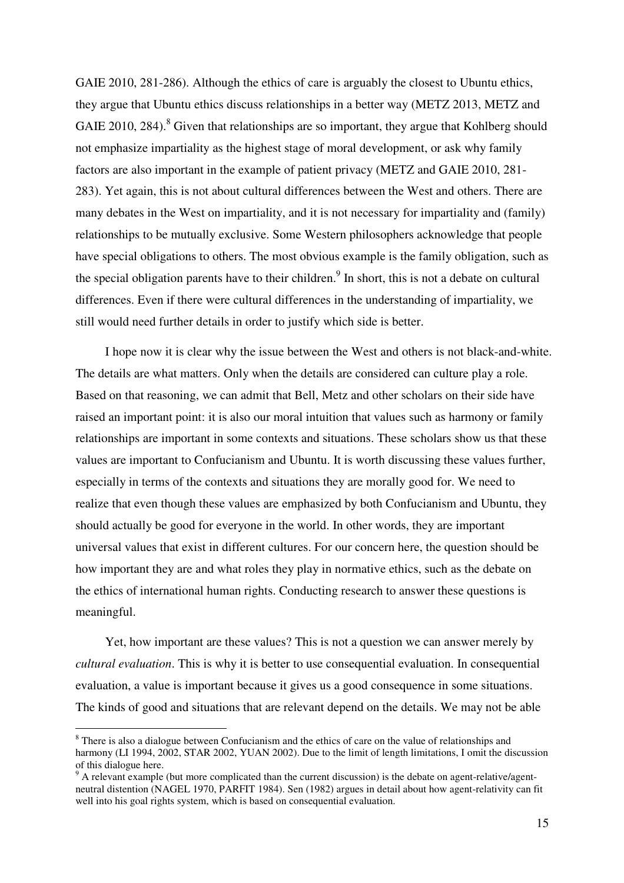GAIE 2010, 281-286). Although the ethics of care is arguably the closest to Ubuntu ethics, they argue that Ubuntu ethics discuss relationships in a better way (METZ 2013, METZ and GAIE 2010, 284). $8$  Given that relationships are so important, they argue that Kohlberg should not emphasize impartiality as the highest stage of moral development, or ask why family factors are also important in the example of patient privacy (METZ and GAIE 2010, 281- 283). Yet again, this is not about cultural differences between the West and others. There are many debates in the West on impartiality, and it is not necessary for impartiality and (family) relationships to be mutually exclusive. Some Western philosophers acknowledge that people have special obligations to others. The most obvious example is the family obligation, such as the special obligation parents have to their children.<sup>9</sup> In short, this is not a debate on cultural differences. Even if there were cultural differences in the understanding of impartiality, we still would need further details in order to justify which side is better.

I hope now it is clear why the issue between the West and others is not black-and-white. The details are what matters. Only when the details are considered can culture play a role. Based on that reasoning, we can admit that Bell, Metz and other scholars on their side have raised an important point: it is also our moral intuition that values such as harmony or family relationships are important in some contexts and situations. These scholars show us that these values are important to Confucianism and Ubuntu. It is worth discussing these values further, especially in terms of the contexts and situations they are morally good for. We need to realize that even though these values are emphasized by both Confucianism and Ubuntu, they should actually be good for everyone in the world. In other words, they are important universal values that exist in different cultures. For our concern here, the question should be how important they are and what roles they play in normative ethics, such as the debate on the ethics of international human rights. Conducting research to answer these questions is meaningful.

Yet, how important are these values? This is not a question we can answer merely by *cultural evaluation*. This is why it is better to use consequential evaluation. In consequential evaluation, a value is important because it gives us a good consequence in some situations. The kinds of good and situations that are relevant depend on the details. We may not be able

 $8$  There is also a dialogue between Confucianism and the ethics of care on the value of relationships and harmony (LI 1994, 2002, STAR 2002, YUAN 2002). Due to the limit of length limitations, I omit the discussion of this dialogue here.

 $9<sup>9</sup>$  A relevant example (but more complicated than the current discussion) is the debate on agent-relative/agentneutral distention (NAGEL 1970, PARFIT 1984). Sen (1982) argues in detail about how agent-relativity can fit well into his goal rights system, which is based on consequential evaluation.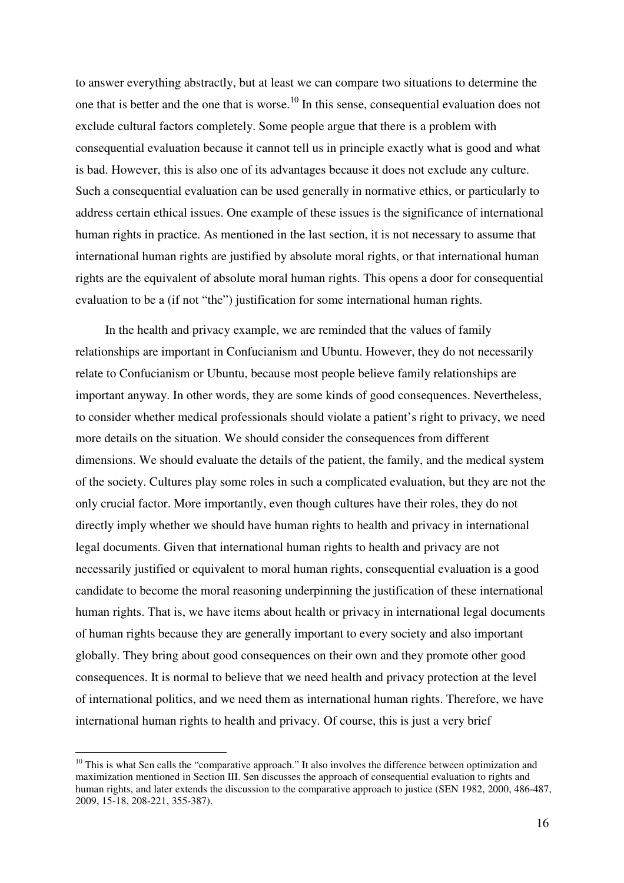to answer everything abstractly, but at least we can compare two situations to determine the one that is better and the one that is worse.<sup>10</sup> In this sense, consequential evaluation does not exclude cultural factors completely. Some people argue that there is a problem with consequential evaluation because it cannot tell us in principle exactly what is good and what is bad. However, this is also one of its advantages because it does not exclude any culture. Such a consequential evaluation can be used generally in normative ethics, or particularly to address certain ethical issues. One example of these issues is the significance of international human rights in practice. As mentioned in the last section, it is not necessary to assume that international human rights are justified by absolute moral rights, or that international human rights are the equivalent of absolute moral human rights. This opens a door for consequential evaluation to be a (if not "the") justification for some international human rights.

In the health and privacy example, we are reminded that the values of family relationships are important in Confucianism and Ubuntu. However, they do not necessarily relate to Confucianism or Ubuntu, because most people believe family relationships are important anyway. In other words, they are some kinds of good consequences. Nevertheless, to consider whether medical professionals should violate a patient's right to privacy, we need more details on the situation. We should consider the consequences from different dimensions. We should evaluate the details of the patient, the family, and the medical system of the society. Cultures play some roles in such a complicated evaluation, but they are not the only crucial factor. More importantly, even though cultures have their roles, they do not directly imply whether we should have human rights to health and privacy in international legal documents. Given that international human rights to health and privacy are not necessarily justified or equivalent to moral human rights, consequential evaluation is a good candidate to become the moral reasoning underpinning the justification of these international human rights. That is, we have items about health or privacy in international legal documents of human rights because they are generally important to every society and also important globally. They bring about good consequences on their own and they promote other good consequences. It is normal to believe that we need health and privacy protection at the level of international politics, and we need them as international human rights. Therefore, we have international human rights to health and privacy. Of course, this is just a very brief

 $10$  This is what Sen calls the "comparative approach." It also involves the difference between optimization and maximization mentioned in Section III. Sen discusses the approach of consequential evaluation to rights and human rights, and later extends the discussion to the comparative approach to justice (SEN 1982, 2000, 486-487, 2009, 15-18, 208-221, 355-387).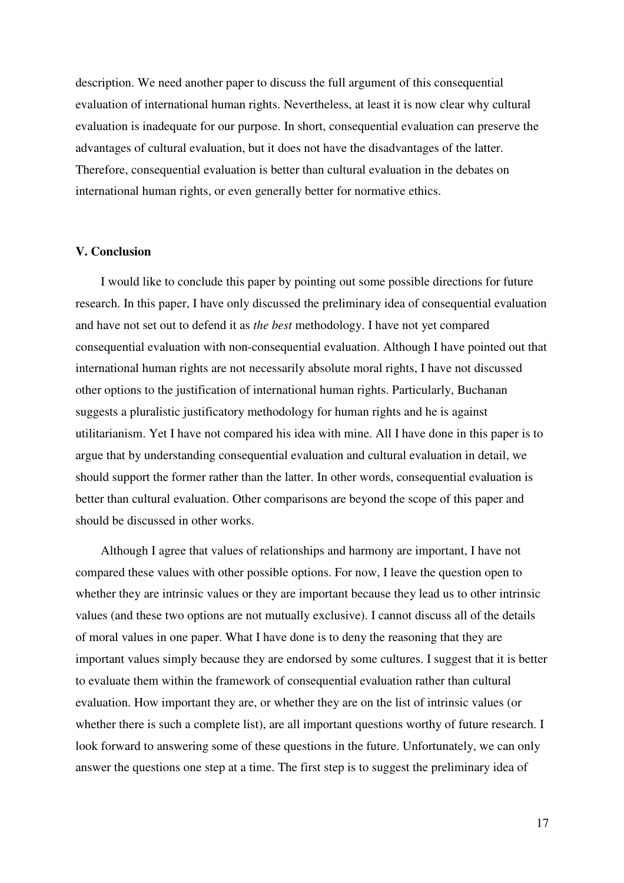description. We need another paper to discuss the full argument of this consequential evaluation of international human rights. Nevertheless, at least it is now clear why cultural evaluation is inadequate for our purpose. In short, consequential evaluation can preserve the advantages of cultural evaluation, but it does not have the disadvantages of the latter. Therefore, consequential evaluation is better than cultural evaluation in the debates on international human rights, or even generally better for normative ethics.

## **V. Conclusion**

I would like to conclude this paper by pointing out some possible directions for future research. In this paper, I have only discussed the preliminary idea of consequential evaluation and have not set out to defend it as *the best* methodology. I have not yet compared consequential evaluation with non-consequential evaluation. Although I have pointed out that international human rights are not necessarily absolute moral rights, I have not discussed other options to the justification of international human rights. Particularly, Buchanan suggests a pluralistic justificatory methodology for human rights and he is against utilitarianism. Yet I have not compared his idea with mine. All I have done in this paper is to argue that by understanding consequential evaluation and cultural evaluation in detail, we should support the former rather than the latter. In other words, consequential evaluation is better than cultural evaluation. Other comparisons are beyond the scope of this paper and should be discussed in other works.

Although I agree that values of relationships and harmony are important, I have not compared these values with other possible options. For now, I leave the question open to whether they are intrinsic values or they are important because they lead us to other intrinsic values (and these two options are not mutually exclusive). I cannot discuss all of the details of moral values in one paper. What I have done is to deny the reasoning that they are important values simply because they are endorsed by some cultures. I suggest that it is better to evaluate them within the framework of consequential evaluation rather than cultural evaluation. How important they are, or whether they are on the list of intrinsic values (or whether there is such a complete list), are all important questions worthy of future research. I look forward to answering some of these questions in the future. Unfortunately, we can only answer the questions one step at a time. The first step is to suggest the preliminary idea of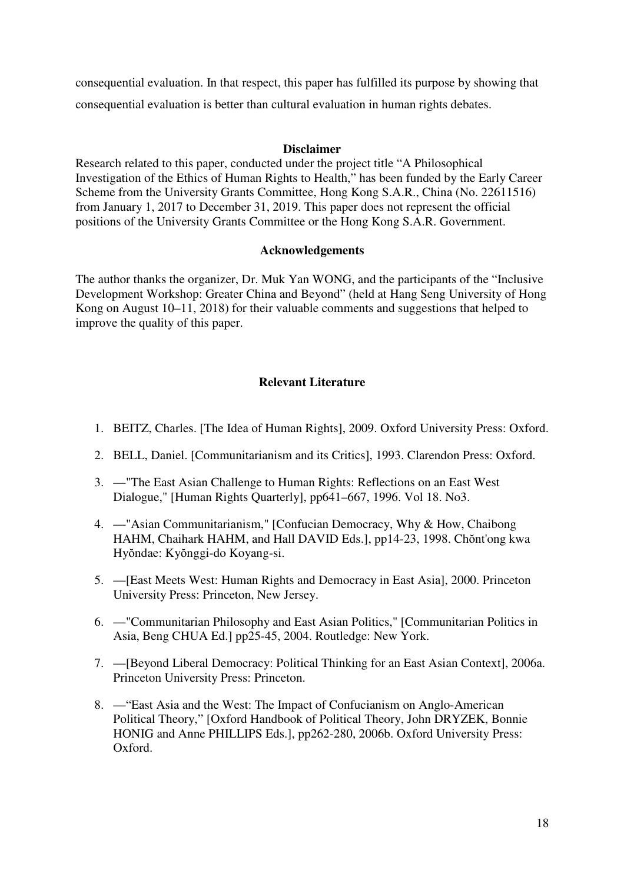consequential evaluation. In that respect, this paper has fulfilled its purpose by showing that consequential evaluation is better than cultural evaluation in human rights debates.

# **Disclaimer**

Research related to this paper, conducted under the project title "A Philosophical Investigation of the Ethics of Human Rights to Health," has been funded by the Early Career Scheme from the University Grants Committee, Hong Kong S.A.R., China (No. 22611516) from January 1, 2017 to December 31, 2019. This paper does not represent the official positions of the University Grants Committee or the Hong Kong S.A.R. Government.

# **Acknowledgements**

The author thanks the organizer, Dr. Muk Yan WONG, and the participants of the "Inclusive Development Workshop: Greater China and Beyond" (held at Hang Seng University of Hong Kong on August 10–11, 2018) for their valuable comments and suggestions that helped to improve the quality of this paper.

# **Relevant Literature**

- 1. BEITZ, Charles. [The Idea of Human Rights], 2009. Oxford University Press: Oxford.
- 2. BELL, Daniel. [Communitarianism and its Critics], 1993. Clarendon Press: Oxford.
- 3. —"The East Asian Challenge to Human Rights: Reflections on an East West Dialogue," [Human Rights Quarterly], pp641–667, 1996. Vol 18. No3.
- 4. —"Asian Communitarianism," [Confucian Democracy, Why & How, Chaibong HAHM, Chaihark HAHM, and Hall DAVID Eds.], pp14-23, 1998. Chŏnt'ong kwa Hyŏndae: Kyŏnggi-do Koyang-si.
- 5. —[East Meets West: Human Rights and Democracy in East Asia], 2000. Princeton University Press: Princeton, New Jersey.
- 6. —"Communitarian Philosophy and East Asian Politics," [Communitarian Politics in Asia, Beng CHUA Ed.] pp25-45, 2004. Routledge: New York.
- 7. —[Beyond Liberal Democracy: Political Thinking for an East Asian Context], 2006a. Princeton University Press: Princeton.
- 8. —"East Asia and the West: The Impact of Confucianism on Anglo-American Political Theory," [Oxford Handbook of Political Theory, John DRYZEK, Bonnie HONIG and Anne PHILLIPS Eds.], pp262-280, 2006b. Oxford University Press: Oxford.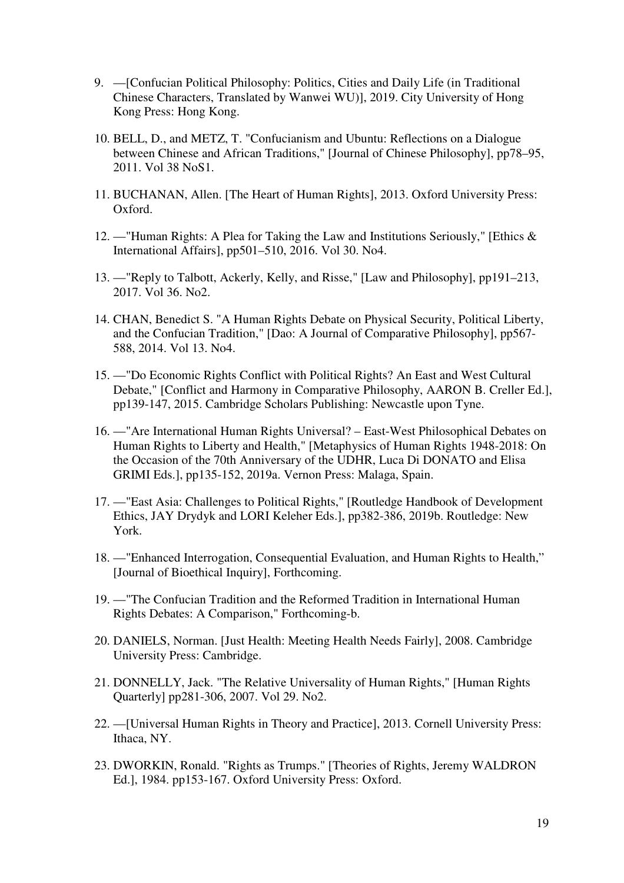- 9. —[Confucian Political Philosophy: Politics, Cities and Daily Life (in Traditional Chinese Characters, Translated by Wanwei WU)], 2019. City University of Hong Kong Press: Hong Kong.
- 10. BELL, D., and METZ, T. "Confucianism and Ubuntu: Reflections on a Dialogue between Chinese and African Traditions," [Journal of Chinese Philosophy], pp78–95, 2011. Vol 38 NoS1.
- 11. BUCHANAN, Allen. [The Heart of Human Rights], 2013. Oxford University Press: Oxford.
- 12. —"Human Rights: A Plea for Taking the Law and Institutions Seriously," [Ethics & International Affairs], pp501–510, 2016. Vol 30. No4.
- 13. —"Reply to Talbott, Ackerly, Kelly, and Risse," [Law and Philosophy], pp191–213, 2017. Vol 36. No2.
- 14. CHAN, Benedict S. "A Human Rights Debate on Physical Security, Political Liberty, and the Confucian Tradition," [Dao: A Journal of Comparative Philosophy], pp567- 588, 2014. Vol 13. No4.
- 15. —"Do Economic Rights Conflict with Political Rights? An East and West Cultural Debate," [Conflict and Harmony in Comparative Philosophy, AARON B. Creller Ed.], pp139-147, 2015. Cambridge Scholars Publishing: Newcastle upon Tyne.
- 16. —"Are International Human Rights Universal? East-West Philosophical Debates on Human Rights to Liberty and Health," [Metaphysics of Human Rights 1948-2018: On the Occasion of the 70th Anniversary of the UDHR, Luca Di DONATO and Elisa GRIMI Eds.], pp135-152, 2019a. Vernon Press: Malaga, Spain.
- 17. —"East Asia: Challenges to Political Rights," [Routledge Handbook of Development Ethics, JAY Drydyk and LORI Keleher Eds.], pp382-386, 2019b. Routledge: New York.
- 18. —"Enhanced Interrogation, Consequential Evaluation, and Human Rights to Health," [Journal of Bioethical Inquiry], Forthcoming.
- 19. —"The Confucian Tradition and the Reformed Tradition in International Human Rights Debates: A Comparison," Forthcoming-b.
- 20. DANIELS, Norman. [Just Health: Meeting Health Needs Fairly], 2008. Cambridge University Press: Cambridge.
- 21. DONNELLY, Jack. "The Relative Universality of Human Rights," [Human Rights Quarterly] pp281-306, 2007. Vol 29. No2.
- 22. —[Universal Human Rights in Theory and Practice], 2013. Cornell University Press: Ithaca, NY.
- 23. DWORKIN, Ronald. "Rights as Trumps." [Theories of Rights, Jeremy WALDRON Ed.], 1984. pp153-167. Oxford University Press: Oxford.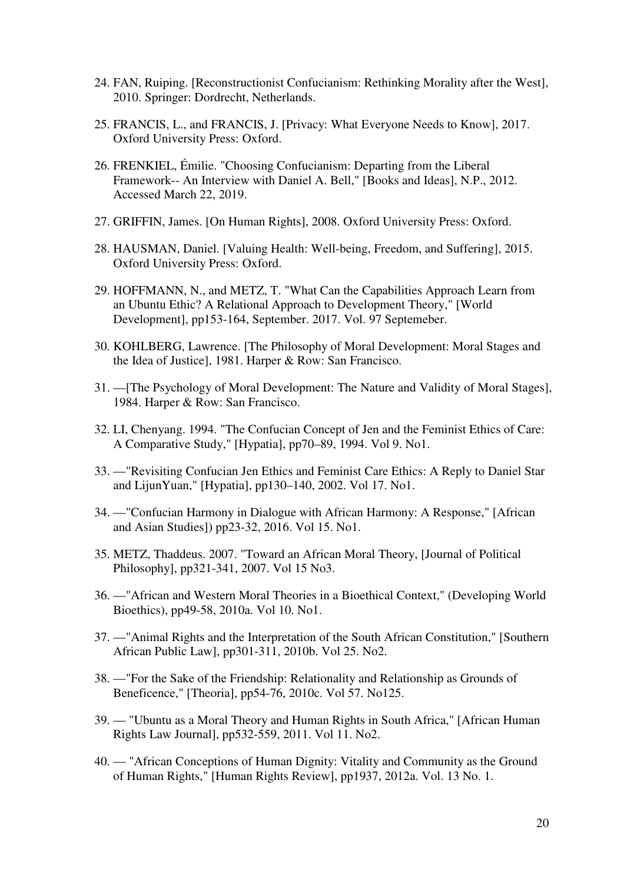- 24. FAN, Ruiping. [Reconstructionist Confucianism: Rethinking Morality after the West], 2010. Springer: Dordrecht, Netherlands.
- 25. FRANCIS, L., and FRANCIS, J. [Privacy: What Everyone Needs to Know], 2017. Oxford University Press: Oxford.
- 26. FRENKIEL, Émilie. "Choosing Confucianism: Departing from the Liberal Framework-- An Interview with Daniel A. Bell," [Books and Ideas], N.P., 2012. Accessed March 22, 2019.
- 27. GRIFFIN, James. [On Human Rights], 2008. Oxford University Press: Oxford.
- 28. HAUSMAN, Daniel. [Valuing Health: Well-being, Freedom, and Suffering], 2015. Oxford University Press: Oxford.
- 29. HOFFMANN, N., and METZ, T. "What Can the Capabilities Approach Learn from an Ubuntu Ethic? A Relational Approach to Development Theory," [World Development], pp153-164, September. 2017. Vol. 97 Septemeber.
- 30. KOHLBERG, Lawrence. [The Philosophy of Moral Development: Moral Stages and the Idea of Justice], 1981. Harper & Row: San Francisco.
- 31. —[The Psychology of Moral Development: The Nature and Validity of Moral Stages], 1984. Harper & Row: San Francisco.
- 32. LI, Chenyang. 1994. "The Confucian Concept of Jen and the Feminist Ethics of Care: A Comparative Study," [Hypatia], pp70–89, 1994. Vol 9. No1.
- 33. —"Revisiting Confucian Jen Ethics and Feminist Care Ethics: A Reply to Daniel Star and LijunYuan," [Hypatia], pp130–140, 2002. Vol 17. No1.
- 34. —"Confucian Harmony in Dialogue with African Harmony: A Response," [African and Asian Studies]) pp23-32, 2016. Vol 15. No1.
- 35. METZ, Thaddeus. 2007. "Toward an African Moral Theory, [Journal of Political Philosophy], pp321-341, 2007. Vol 15 No3.
- 36. —"African and Western Moral Theories in a Bioethical Context," (Developing World Bioethics), pp49-58, 2010a. Vol 10. No1.
- 37. —"Animal Rights and the Interpretation of the South African Constitution," [Southern African Public Law], pp301-311, 2010b. Vol 25. No2.
- 38. —"For the Sake of the Friendship: Relationality and Relationship as Grounds of Beneficence," [Theoria], pp54-76, 2010c. Vol 57. No125.
- 39. "Ubuntu as a Moral Theory and Human Rights in South Africa," [African Human Rights Law Journal], pp532-559, 2011. Vol 11. No2.
- 40. "African Conceptions of Human Dignity: Vitality and Community as the Ground of Human Rights," [Human Rights Review], pp1937, 2012a. Vol. 13 No. 1.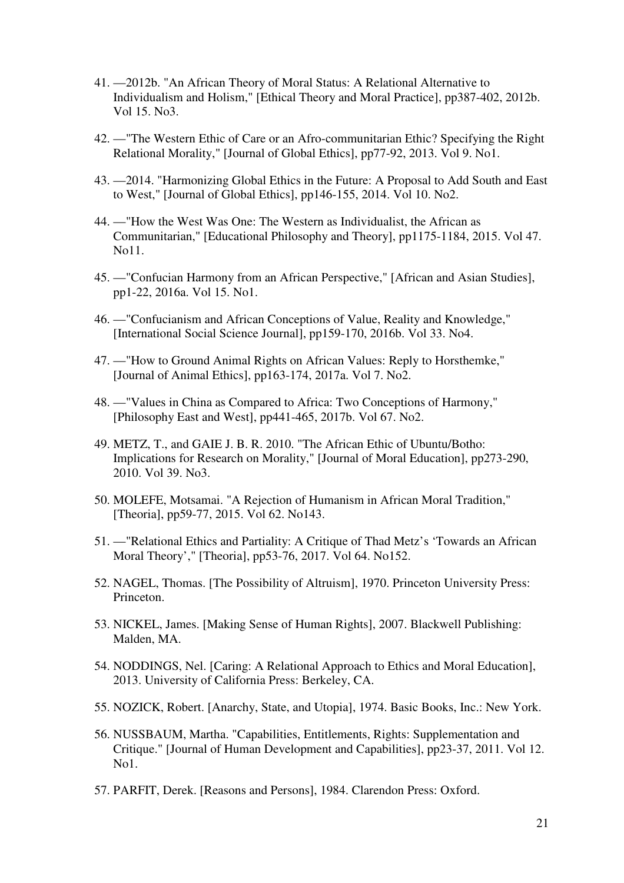- 41. —2012b. "An African Theory of Moral Status: A Relational Alternative to Individualism and Holism," [Ethical Theory and Moral Practice], pp387-402, 2012b. Vol 15. No3.
- 42. —"The Western Ethic of Care or an Afro-communitarian Ethic? Specifying the Right Relational Morality," [Journal of Global Ethics], pp77-92, 2013. Vol 9. No1.
- 43. —2014. "Harmonizing Global Ethics in the Future: A Proposal to Add South and East to West," [Journal of Global Ethics], pp146-155, 2014. Vol 10. No2.
- 44. —"How the West Was One: The Western as Individualist, the African as Communitarian," [Educational Philosophy and Theory], pp1175-1184, 2015. Vol 47. No11.
- 45. —"Confucian Harmony from an African Perspective," [African and Asian Studies], pp1-22, 2016a. Vol 15. No1.
- 46. —"Confucianism and African Conceptions of Value, Reality and Knowledge," [International Social Science Journal], pp159-170, 2016b. Vol 33. No4.
- 47. —"How to Ground Animal Rights on African Values: Reply to Horsthemke," [Journal of Animal Ethics], pp163-174, 2017a. Vol 7. No2.
- 48. —"Values in China as Compared to Africa: Two Conceptions of Harmony," [Philosophy East and West], pp441-465, 2017b. Vol 67. No2.
- 49. METZ, T., and GAIE J. B. R. 2010. "The African Ethic of Ubuntu/Botho: Implications for Research on Morality," [Journal of Moral Education], pp273-290, 2010. Vol 39. No3.
- 50. MOLEFE, Motsamai. "A Rejection of Humanism in African Moral Tradition," [Theoria], pp59-77, 2015. Vol 62. No143.
- 51. —"Relational Ethics and Partiality: A Critique of Thad Metz's 'Towards an African Moral Theory'," [Theoria], pp53-76, 2017. Vol 64. No152.
- 52. NAGEL, Thomas. [The Possibility of Altruism], 1970. Princeton University Press: Princeton.
- 53. NICKEL, James. [Making Sense of Human Rights], 2007. Blackwell Publishing: Malden, MA.
- 54. NODDINGS, Nel. [Caring: A Relational Approach to Ethics and Moral Education], 2013. University of California Press: Berkeley, CA.
- 55. NOZICK, Robert. [Anarchy, State, and Utopia], 1974. Basic Books, Inc.: New York.
- 56. NUSSBAUM, Martha. "Capabilities, Entitlements, Rights: Supplementation and Critique." [Journal of Human Development and Capabilities], pp23-37, 2011. Vol 12. No1.
- 57. PARFIT, Derek. [Reasons and Persons], 1984. Clarendon Press: Oxford.